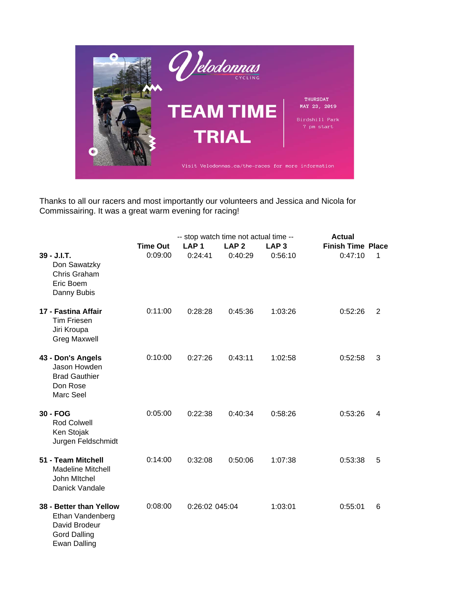

Thanks to all our racers and most importantly our volunteers and Jessica and Nicola for Commissairing. It was a great warm evening for racing!

|                                                                                                            | -- stop watch time not actual time -- | <b>Actual</b>    |                  |                  |                          |   |
|------------------------------------------------------------------------------------------------------------|---------------------------------------|------------------|------------------|------------------|--------------------------|---|
|                                                                                                            | <b>Time Out</b>                       | LAP <sub>1</sub> | LAP <sub>2</sub> | LAP <sub>3</sub> | <b>Finish Time Place</b> |   |
| 39 - J.I.T.<br>Don Sawatzky<br>Chris Graham<br>Eric Boem<br>Danny Bubis                                    | 0:09:00                               | 0:24:41          | 0:40:29          | 0:56:10          | 0:47:10                  | 1 |
| 17 - Fastina Affair<br><b>Tim Friesen</b><br>Jiri Kroupa<br><b>Greg Maxwell</b>                            | 0:11:00                               | 0:28:28          | 0:45:36          | 1:03:26          | 0:52:26                  | 2 |
| 43 - Don's Angels<br>Jason Howden<br><b>Brad Gauthier</b><br>Don Rose<br>Marc Seel                         | 0:10:00                               | 0:27:26          | 0:43:11          | 1:02:58          | 0:52:58                  | 3 |
| 30 - FOG<br><b>Rod Colwell</b><br>Ken Stojak<br>Jurgen Feldschmidt                                         | 0:05:00                               | 0:22:38          | 0:40:34          | 0:58:26          | 0:53:26                  | 4 |
| 51 - Team Mitchell<br><b>Madeline Mitchell</b><br>John Mitchel<br>Danick Vandale                           | 0:14:00                               | 0:32:08          | 0:50:06          | 1:07:38          | 0:53:38                  | 5 |
| 38 - Better than Yellow<br>Ethan Vandenberg<br>David Brodeur<br><b>Gord Dalling</b><br><b>Ewan Dalling</b> | 0:08:00                               | 0:26:02 045:04   |                  | 1:03:01          | 0:55:01                  | 6 |